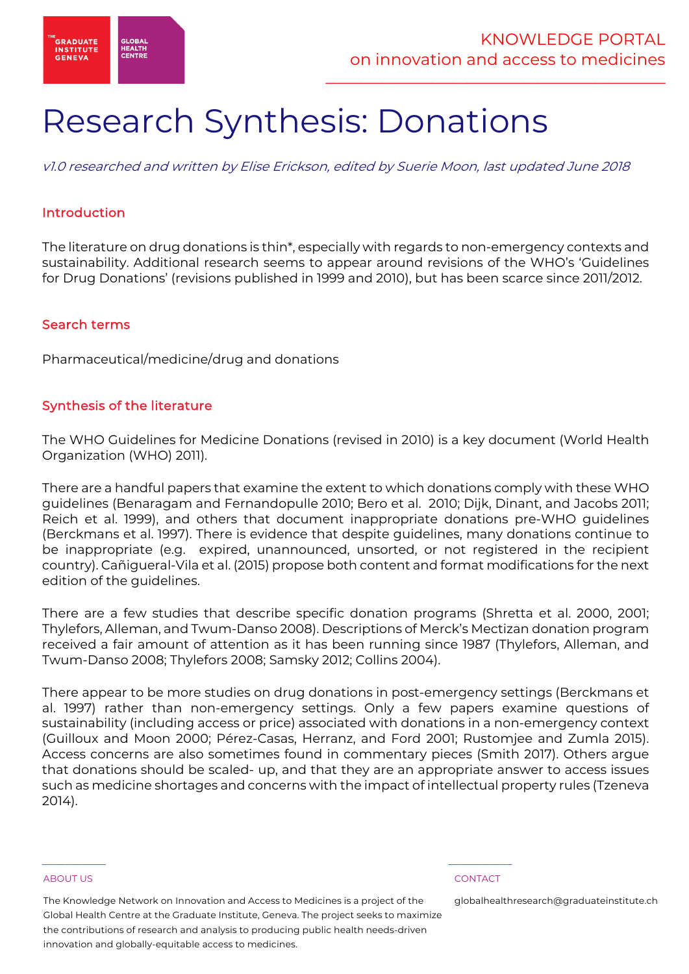

# Research Synthesis: Donations

v1.0 researched and written by Elise Erickson, edited by Suerie Moon, last updated June 2018

# Introduction

The literature on drug donations is thin\*, especially with regards to non-emergency contexts and sustainability. Additional research seems to appear around revisions of the WHO's 'Guidelines for Drug Donations' (revisions published in 1999 and 2010), but has been scarce since 2011/2012.

### Search terms

Pharmaceutical/medicine/drug and donations

### Synthesis of the literature

The WHO Guidelines for Medicine Donations (revised in 2010) is a key document (World Health Organization (WHO) 2011).

There are a handful papers that examine the extent to which donations comply with these WHO guidelines (Benaragam and Fernandopulle 2010; Bero et al. 2010; Dijk, Dinant, and Jacobs 2011; Reich et al. 1999), and others that document inappropriate donations pre-WHO guidelines (Berckmans et al. 1997). There is evidence that despite guidelines, many donations continue to be inappropriate (e.g. expired, unannounced, unsorted, or not registered in the recipient country). Cañigueral-Vila et al. (2015) propose both content and format modifications for the next edition of the guidelines.

There are a few studies that describe specific donation programs (Shretta et al. 2000, 2001; Thylefors, Alleman, and Twum-Danso 2008). Descriptions of Merck's Mectizan donation program received a fair amount of attention as it has been running since 1987 (Thylefors, Alleman, and Twum-Danso 2008; Thylefors 2008; Samsky 2012; Collins 2004).

There appear to be more studies on drug donations in post-emergency settings (Berckmans et al. 1997) rather than non-emergency settings. Only a few papers examine questions of sustainability (including access or price) associated with donations in a non-emergency context (Guilloux and Moon 2000; Pérez-Casas, Herranz, and Ford 2001; Rustomjee and Zumla 2015). Access concerns are also sometimes found in commentary pieces (Smith 2017). Others argue that donations should be scaled- up, and that they are an appropriate answer to access issues such as medicine shortages and concerns with the impact of intellectual property rules (Tzeneva 2014).

### ABOUT US CONTACT AND RESERVE THE RELEASE OF THE RELEASE OF THE RELEASE OF THE RELEASE OF THE RELEASE OF THE RELEASE OF THE RELEASE OF THE RELEASE OF THE RELEASE OF THE RELEASE OF THE RELEASE OF THE RELEASE OF THE RELEASE O

The Knowledge Network on Innovation and Access to Medicines is a project of the Global Health Centre at the Graduate Institute, Geneva. The project seeks to maximize the contributions of research and analysis to producing public health needs-driven innovation and globally-equitable access to medicines.

 $\frac{1}{2}$  , and the set of the set of the set of the set of the set of the set of the set of the set of the set of the set of the set of the set of the set of the set of the set of the set of the set of the set of the set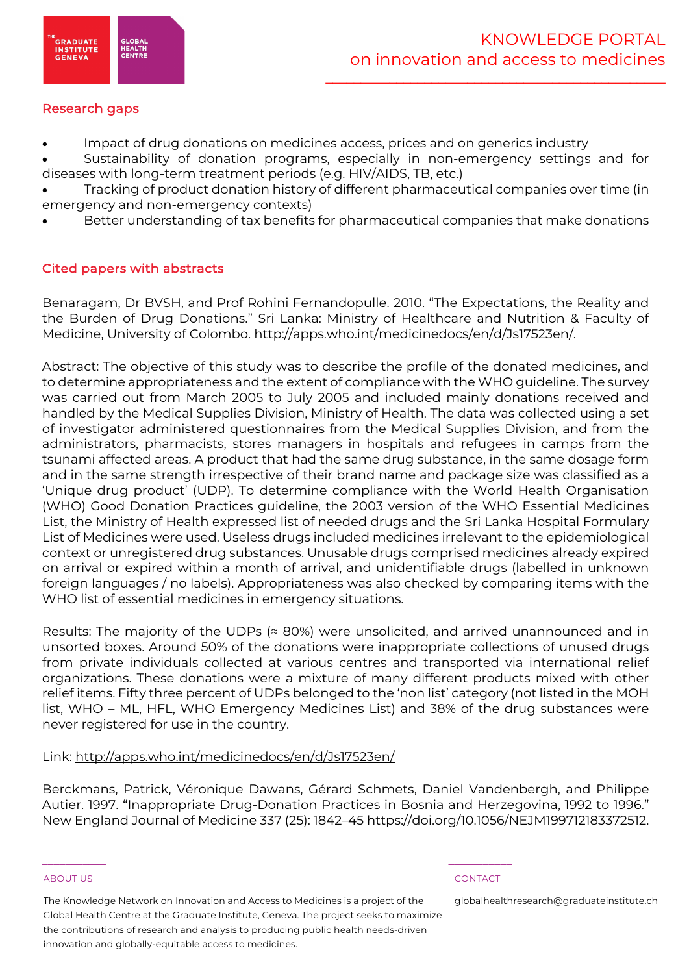

# Research gaps

Impact of drug donations on medicines access, prices and on generics industry

• Sustainability of donation programs, especially in non-emergency settings and for diseases with long-term treatment periods (e.g. HIV/AIDS, TB, etc.)

• Tracking of product donation history of different pharmaceutical companies over time (in emergency and non-emergency contexts)

Better understanding of tax benefits for pharmaceutical companies that make donations

# Cited papers with abstracts

Benaragam, Dr BVSH, and Prof Rohini Fernandopulle. 2010. "The Expectations, the Reality and the Burden of Drug Donations." Sri Lanka: Ministry of Healthcare and Nutrition & Faculty of Medicine, University of Colombo. http://apps.who.int/medicinedocs/en/d/Js17523en/.

Abstract: The objective of this study was to describe the profile of the donated medicines, and to determine appropriateness and the extent of compliance with the WHO guideline. The survey was carried out from March 2005 to July 2005 and included mainly donations received and handled by the Medical Supplies Division, Ministry of Health. The data was collected using a set of investigator administered questionnaires from the Medical Supplies Division, and from the administrators, pharmacists, stores managers in hospitals and refugees in camps from the tsunami affected areas. A product that had the same drug substance, in the same dosage form and in the same strength irrespective of their brand name and package size was classified as a 'Unique drug product' (UDP). To determine compliance with the World Health Organisation (WHO) Good Donation Practices guideline, the 2003 version of the WHO Essential Medicines List, the Ministry of Health expressed list of needed drugs and the Sri Lanka Hospital Formulary List of Medicines were used. Useless drugs included medicines irrelevant to the epidemiological context or unregistered drug substances. Unusable drugs comprised medicines already expired on arrival or expired within a month of arrival, and unidentifiable drugs (labelled in unknown foreign languages / no labels). Appropriateness was also checked by comparing items with the WHO list of essential medicines in emergency situations.

Results: The majority of the UDPs  $($   $\approx$  80%) were unsolicited, and arrived unannounced and in unsorted boxes. Around 50% of the donations were inappropriate collections of unused drugs from private individuals collected at various centres and transported via international relief organizations. These donations were a mixture of many different products mixed with other relief items. Fifty three percent of UDPs belonged to the 'non list' category (not listed in the MOH list, WHO – ML, HFL, WHO Emergency Medicines List) and 38% of the drug substances were never registered for use in the country.

# Link: http://apps.who.int/medicinedocs/en/d/Js17523en/

Berckmans, Patrick, Véronique Dawans, Gérard Schmets, Daniel Vandenbergh, and Philippe Autier. 1997. "Inappropriate Drug-Donation Practices in Bosnia and Herzegovina, 1992 to 1996." New England Journal of Medicine 337 (25): 1842–45 https://doi.org/10.1056/NEJM199712183372512.

### ABOUT US CONTACT AND RESERVE THE RELEASE OF THE RELEASE OF THE RELEASE OF THE RELEASE OF THE RELEASE OF THE RELEASE OF THE RELEASE OF THE RELEASE OF THE RELEASE OF THE RELEASE OF THE RELEASE OF THE RELEASE OF THE RELEASE O

The Knowledge Network on Innovation and Access to Medicines is a project of the Global Health Centre at the Graduate Institute, Geneva. The project seeks to maximize the contributions of research and analysis to producing public health needs-driven innovation and globally-equitable access to medicines.

 $\frac{1}{2}$  , and the set of the set of the set of the set of the set of the set of the set of the set of the set of the set of the set of the set of the set of the set of the set of the set of the set of the set of the set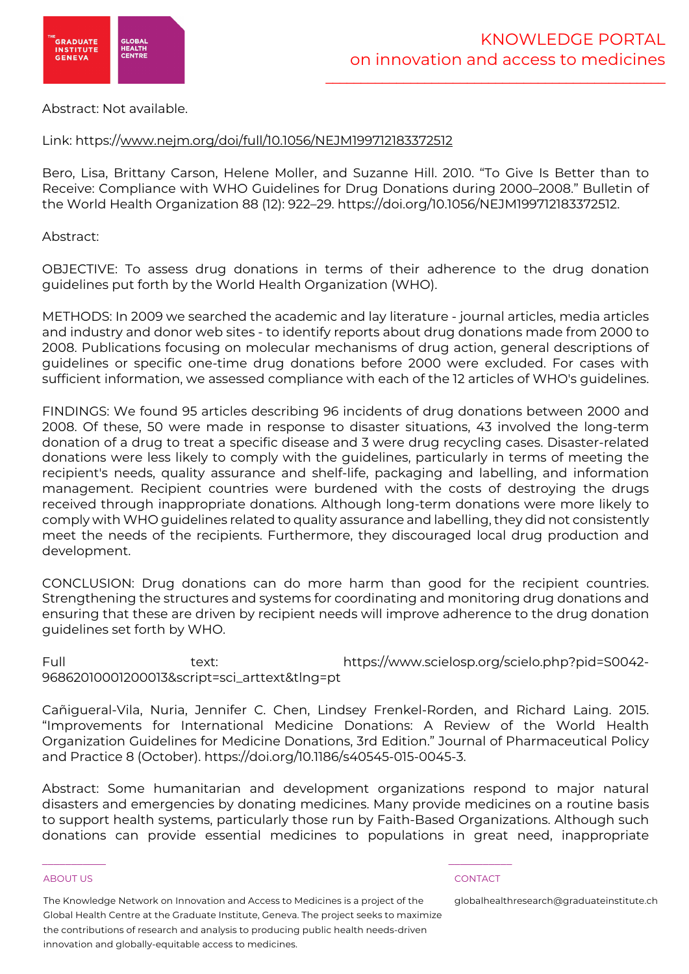

### Abstract: Not available.

## Link: https://www.nejm.org/doi/full/10.1056/NEJM199712183372512

Bero, Lisa, Brittany Carson, Helene Moller, and Suzanne Hill. 2010. "To Give Is Better than to Receive: Compliance with WHO Guidelines for Drug Donations during 2000–2008." Bulletin of the World Health Organization 88 (12): 922–29. https://doi.org/10.1056/NEJM199712183372512.

Abstract:

OBJECTIVE: To assess drug donations in terms of their adherence to the drug donation guidelines put forth by the World Health Organization (WHO).

METHODS: In 2009 we searched the academic and lay literature - journal articles, media articles and industry and donor web sites - to identify reports about drug donations made from 2000 to 2008. Publications focusing on molecular mechanisms of drug action, general descriptions of guidelines or specific one-time drug donations before 2000 were excluded. For cases with sufficient information, we assessed compliance with each of the 12 articles of WHO's guidelines.

FINDINGS: We found 95 articles describing 96 incidents of drug donations between 2000 and 2008. Of these, 50 were made in response to disaster situations, 43 involved the long-term donation of a drug to treat a specific disease and 3 were drug recycling cases. Disaster-related donations were less likely to comply with the guidelines, particularly in terms of meeting the recipient's needs, quality assurance and shelf-life, packaging and labelling, and information management. Recipient countries were burdened with the costs of destroying the drugs received through inappropriate donations. Although long-term donations were more likely to comply with WHO guidelines related to quality assurance and labelling, they did not consistently meet the needs of the recipients. Furthermore, they discouraged local drug production and development.

CONCLUSION: Drug donations can do more harm than good for the recipient countries. Strengthening the structures and systems for coordinating and monitoring drug donations and ensuring that these are driven by recipient needs will improve adherence to the drug donation guidelines set forth by WHO.

Full text: https://www.scielosp.org/scielo.php?pid=S0042- 96862010001200013&script=sci\_arttext&tlng=pt

Cañigueral-Vila, Nuria, Jennifer C. Chen, Lindsey Frenkel-Rorden, and Richard Laing. 2015. "Improvements for International Medicine Donations: A Review of the World Health Organization Guidelines for Medicine Donations, 3rd Edition." Journal of Pharmaceutical Policy and Practice 8 (October). https://doi.org/10.1186/s40545-015-0045-3.

Abstract: Some humanitarian and development organizations respond to major natural disasters and emergencies by donating medicines. Many provide medicines on a routine basis to support health systems, particularly those run by Faith-Based Organizations. Although such donations can provide essential medicines to populations in great need, inappropriate

### ABOUT US CONTACT AND RESERVE THE RELEASE OF THE RELEASE OF THE RELEASE OF THE RELEASE OF THE RELEASE OF THE RELEASE OF THE RELEASE OF THE RELEASE OF THE RELEASE OF THE RELEASE OF THE RELEASE OF THE RELEASE OF THE RELEASE O

The Knowledge Network on Innovation and Access to Medicines is a project of the Global Health Centre at the Graduate Institute, Geneva. The project seeks to maximize the contributions of research and analysis to producing public health needs-driven innovation and globally-equitable access to medicines.

 $\frac{1}{2}$  , and the set of the set of the set of the set of the set of the set of the set of the set of the set of the set of the set of the set of the set of the set of the set of the set of the set of the set of the set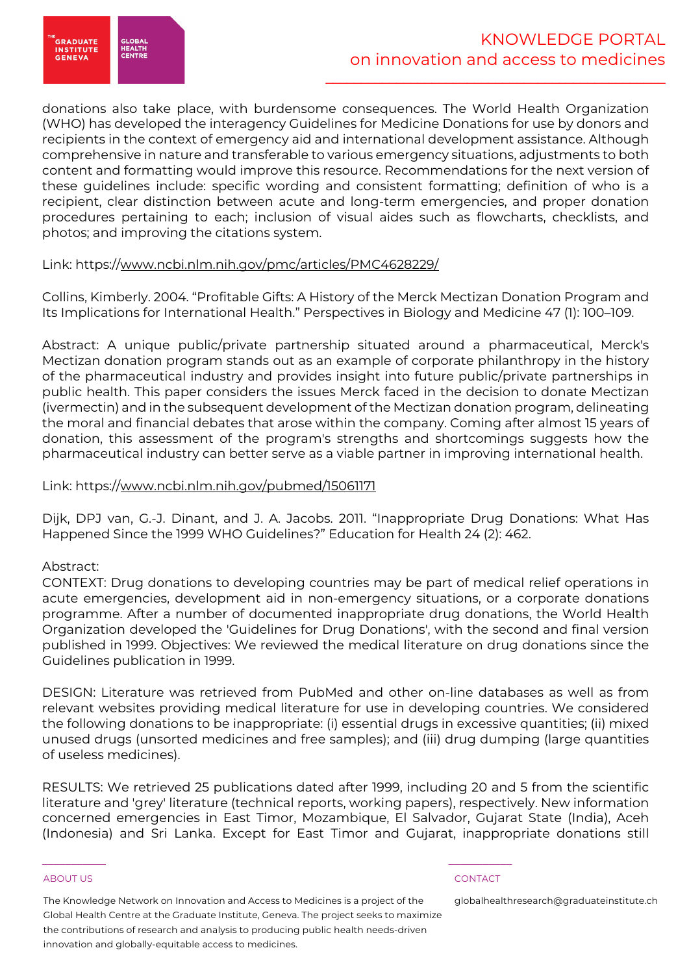

donations also take place, with burdensome consequences. The World Health Organization (WHO) has developed the interagency Guidelines for Medicine Donations for use by donors and recipients in the context of emergency aid and international development assistance. Although comprehensive in nature and transferable to various emergency situations, adjustments to both content and formatting would improve this resource. Recommendations for the next version of these guidelines include: specific wording and consistent formatting; definition of who is a recipient, clear distinction between acute and long-term emergencies, and proper donation procedures pertaining to each; inclusion of visual aides such as flowcharts, checklists, and photos; and improving the citations system.

### Link: https://www.ncbi.nlm.nih.gov/pmc/articles/PMC4628229/

Collins, Kimberly. 2004. "Profitable Gifts: A History of the Merck Mectizan Donation Program and Its Implications for International Health." Perspectives in Biology and Medicine 47 (1): 100–109.

Abstract: A unique public/private partnership situated around a pharmaceutical, Merck's Mectizan donation program stands out as an example of corporate philanthropy in the history of the pharmaceutical industry and provides insight into future public/private partnerships in public health. This paper considers the issues Merck faced in the decision to donate Mectizan (ivermectin) and in the subsequent development of the Mectizan donation program, delineating the moral and financial debates that arose within the company. Coming after almost 15 years of donation, this assessment of the program's strengths and shortcomings suggests how the pharmaceutical industry can better serve as a viable partner in improving international health.

### Link: https://www.ncbi.nlm.nih.gov/pubmed/15061171

Dijk, DPJ van, G.-J. Dinant, and J. A. Jacobs. 2011. "Inappropriate Drug Donations: What Has Happened Since the 1999 WHO Guidelines?" Education for Health 24 (2): 462.

# Abstract:

CONTEXT: Drug donations to developing countries may be part of medical relief operations in acute emergencies, development aid in non-emergency situations, or a corporate donations programme. After a number of documented inappropriate drug donations, the World Health Organization developed the 'Guidelines for Drug Donations', with the second and final version published in 1999. Objectives: We reviewed the medical literature on drug donations since the Guidelines publication in 1999.

DESIGN: Literature was retrieved from PubMed and other on-line databases as well as from relevant websites providing medical literature for use in developing countries. We considered the following donations to be inappropriate: (i) essential drugs in excessive quantities; (ii) mixed unused drugs (unsorted medicines and free samples); and (iii) drug dumping (large quantities of useless medicines).

RESULTS: We retrieved 25 publications dated after 1999, including 20 and 5 from the scientific literature and 'grey' literature (technical reports, working papers), respectively. New information concerned emergencies in East Timor, Mozambique, El Salvador, Gujarat State (India), Aceh (Indonesia) and Sri Lanka. Except for East Timor and Gujarat, inappropriate donations still

### ABOUT US CONTACT AND RESERVE THE RELEASE OF THE RELEASE OF THE RELEASE OF THE RELEASE OF THE RELEASE OF THE RELEASE OF THE RELEASE OF THE RELEASE OF THE RELEASE OF THE RELEASE OF THE RELEASE OF THE RELEASE OF THE RELEASE O

The Knowledge Network on Innovation and Access to Medicines is a project of the Global Health Centre at the Graduate Institute, Geneva. The project seeks to maximize the contributions of research and analysis to producing public health needs-driven innovation and globally-equitable access to medicines.

 $\frac{1}{2}$  , and the set of the set of the set of the set of the set of the set of the set of the set of the set of the set of the set of the set of the set of the set of the set of the set of the set of the set of the set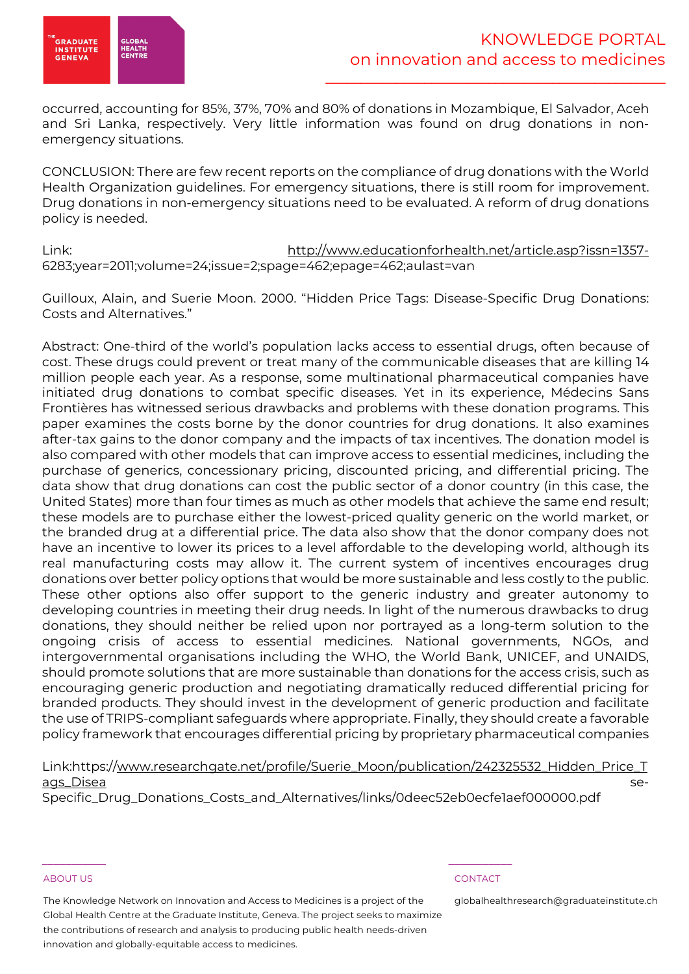

occurred, accounting for 85%, 37%, 70% and 80% of donations in Mozambique, El Salvador, Aceh and Sri Lanka, respectively. Very little information was found on drug donations in nonemergency situations.

CONCLUSION: There are few recent reports on the compliance of drug donations with the World Health Organization guidelines. For emergency situations, there is still room for improvement. Drug donations in non-emergency situations need to be evaluated. A reform of drug donations policy is needed.

Link: http://www.educationforhealth.net/article.asp?issn=1357- 6283;year=2011;volume=24;issue=2;spage=462;epage=462;aulast=van

Guilloux, Alain, and Suerie Moon. 2000. "Hidden Price Tags: Disease-Specific Drug Donations: Costs and Alternatives."

Abstract: One-third of the world's population lacks access to essential drugs, often because of cost. These drugs could prevent or treat many of the communicable diseases that are killing 14 million people each year. As a response, some multinational pharmaceutical companies have initiated drug donations to combat specific diseases. Yet in its experience, Médecins Sans Frontières has witnessed serious drawbacks and problems with these donation programs. This paper examines the costs borne by the donor countries for drug donations. It also examines after-tax gains to the donor company and the impacts of tax incentives. The donation model is also compared with other models that can improve access to essential medicines, including the purchase of generics, concessionary pricing, discounted pricing, and differential pricing. The data show that drug donations can cost the public sector of a donor country (in this case, the United States) more than four times as much as other models that achieve the same end result; these models are to purchase either the lowest-priced quality generic on the world market, or the branded drug at a differential price. The data also show that the donor company does not have an incentive to lower its prices to a level affordable to the developing world, although its real manufacturing costs may allow it. The current system of incentives encourages drug donations over better policy options that would be more sustainable and less costly to the public. These other options also offer support to the generic industry and greater autonomy to developing countries in meeting their drug needs. In light of the numerous drawbacks to drug donations, they should neither be relied upon nor portrayed as a long-term solution to the ongoing crisis of access to essential medicines. National governments, NGOs, and intergovernmental organisations including the WHO, the World Bank, UNICEF, and UNAIDS, should promote solutions that are more sustainable than donations for the access crisis, such as encouraging generic production and negotiating dramatically reduced differential pricing for branded products. They should invest in the development of generic production and facilitate the use of TRIPS-compliant safeguards where appropriate. Finally, they should create a favorable policy framework that encourages differential pricing by proprietary pharmaceutical companies

Link:https://www.researchgate.net/profile/Suerie\_Moon/publication/242325532\_Hidden\_Price\_T ags\_Disea se-

Specific\_Drug\_Donations\_Costs\_and\_Alternatives/links/0deec52eb0ecfe1aef000000.pdf

### ABOUT US AND LOCAL CONTACT AND LOCAL CONTACT AND LOCAL CONTACT AND LOCAL CONTACT.

The Knowledge Network on Innovation and Access to Medicines is a project of the Global Health Centre at the Graduate Institute, Geneva. The project seeks to maximize the contributions of research and analysis to producing public health needs-driven innovation and globally-equitable access to medicines.

 $\frac{1}{2}$  , and the set of the set of the set of the set of the set of the set of the set of the set of the set of the set of the set of the set of the set of the set of the set of the set of the set of the set of the set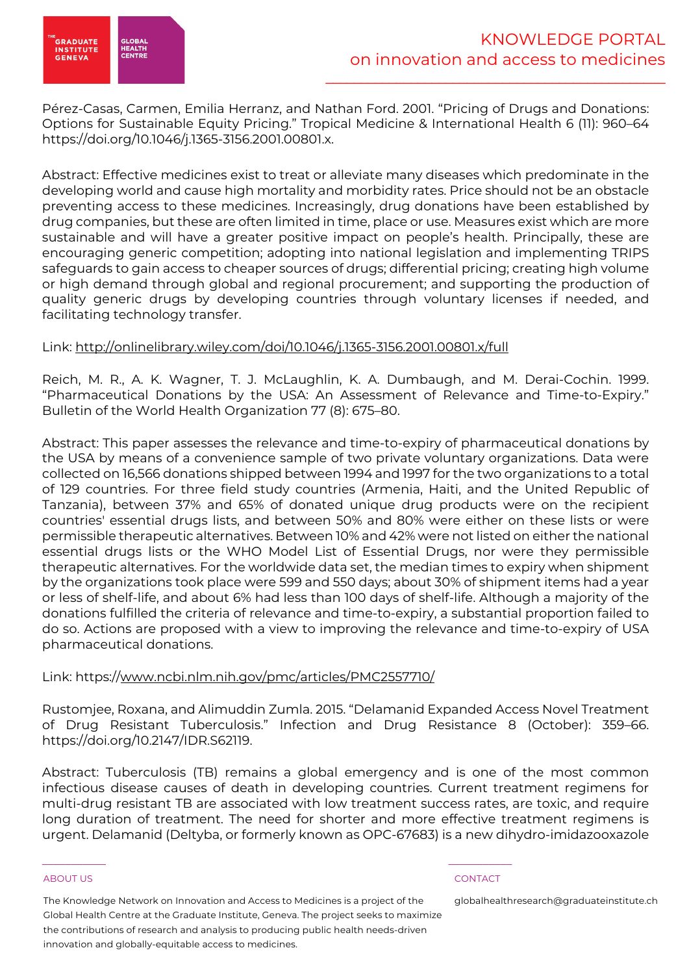

Pérez-Casas, Carmen, Emilia Herranz, and Nathan Ford. 2001. "Pricing of Drugs and Donations: Options for Sustainable Equity Pricing." Tropical Medicine & International Health 6 (11): 960–64 https://doi.org/10.1046/j.1365-3156.2001.00801.x.

Abstract: Effective medicines exist to treat or alleviate many diseases which predominate in the developing world and cause high mortality and morbidity rates. Price should not be an obstacle preventing access to these medicines. Increasingly, drug donations have been established by drug companies, but these are often limited in time, place or use. Measures exist which are more sustainable and will have a greater positive impact on people's health. Principally, these are encouraging generic competition; adopting into national legislation and implementing TRIPS safeguards to gain access to cheaper sources of drugs; differential pricing; creating high volume or high demand through global and regional procurement; and supporting the production of quality generic drugs by developing countries through voluntary licenses if needed, and facilitating technology transfer.

# Link: http://onlinelibrary.wiley.com/doi/10.1046/j.1365-3156.2001.00801.x/full

Reich, M. R., A. K. Wagner, T. J. McLaughlin, K. A. Dumbaugh, and M. Derai-Cochin. 1999. "Pharmaceutical Donations by the USA: An Assessment of Relevance and Time-to-Expiry." Bulletin of the World Health Organization 77 (8): 675–80.

Abstract: This paper assesses the relevance and time-to-expiry of pharmaceutical donations by the USA by means of a convenience sample of two private voluntary organizations. Data were collected on 16,566 donations shipped between 1994 and 1997 for the two organizations to a total of 129 countries. For three field study countries (Armenia, Haiti, and the United Republic of Tanzania), between 37% and 65% of donated unique drug products were on the recipient countries' essential drugs lists, and between 50% and 80% were either on these lists or were permissible therapeutic alternatives. Between 10% and 42% were not listed on either the national essential drugs lists or the WHO Model List of Essential Drugs, nor were they permissible therapeutic alternatives. For the worldwide data set, the median times to expiry when shipment by the organizations took place were 599 and 550 days; about 30% of shipment items had a year or less of shelf-life, and about 6% had less than 100 days of shelf-life. Although a majority of the donations fulfilled the criteria of relevance and time-to-expiry, a substantial proportion failed to do so. Actions are proposed with a view to improving the relevance and time-to-expiry of USA pharmaceutical donations.

# Link: https://www.ncbi.nlm.nih.gov/pmc/articles/PMC2557710/

Rustomjee, Roxana, and Alimuddin Zumla. 2015. "Delamanid Expanded Access Novel Treatment of Drug Resistant Tuberculosis." Infection and Drug Resistance 8 (October): 359–66. https://doi.org/10.2147/IDR.S62119.

Abstract: Tuberculosis (TB) remains a global emergency and is one of the most common infectious disease causes of death in developing countries. Current treatment regimens for multi-drug resistant TB are associated with low treatment success rates, are toxic, and require long duration of treatment. The need for shorter and more effective treatment regimens is urgent. Delamanid (Deltyba, or formerly known as OPC-67683) is a new dihydro-imidazooxazole

### ABOUT US CONTACT AND RESERVE THE RELEASE OF THE RELEASE OF THE RELEASE OF THE RELEASE OF THE RELEASE OF THE RELEASE OF THE RELEASE OF THE RELEASE OF THE RELEASE OF THE RELEASE OF THE RELEASE OF THE RELEASE OF THE RELEASE O

The Knowledge Network on Innovation and Access to Medicines is a project of the Global Health Centre at the Graduate Institute, Geneva. The project seeks to maximize the contributions of research and analysis to producing public health needs-driven innovation and globally-equitable access to medicines.

 $\frac{1}{2}$  , and the set of the set of the set of the set of the set of the set of the set of the set of the set of the set of the set of the set of the set of the set of the set of the set of the set of the set of the set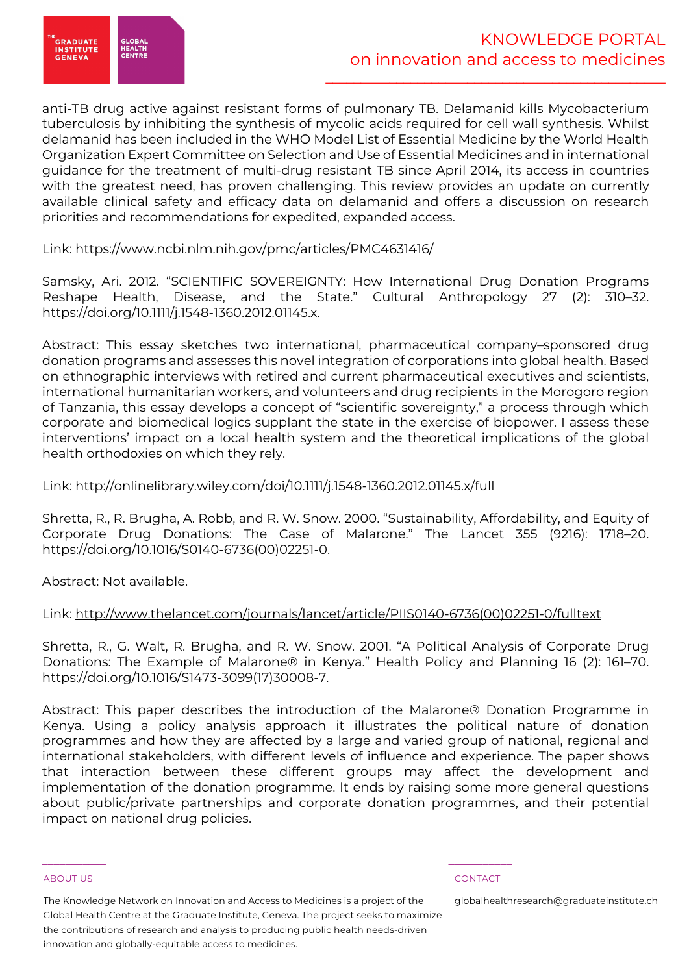

anti-TB drug active against resistant forms of pulmonary TB. Delamanid kills Mycobacterium tuberculosis by inhibiting the synthesis of mycolic acids required for cell wall synthesis. Whilst delamanid has been included in the WHO Model List of Essential Medicine by the World Health Organization Expert Committee on Selection and Use of Essential Medicines and in international guidance for the treatment of multi-drug resistant TB since April 2014, its access in countries with the greatest need, has proven challenging. This review provides an update on currently available clinical safety and efficacy data on delamanid and offers a discussion on research priorities and recommendations for expedited, expanded access.

### Link: https://www.ncbi.nlm.nih.gov/pmc/articles/PMC4631416/

Samsky, Ari. 2012. "SCIENTIFIC SOVEREIGNTY: How International Drug Donation Programs Reshape Health, Disease, and the State." Cultural Anthropology 27 (2): 310–32. https://doi.org/10.1111/j.1548-1360.2012.01145.x.

Abstract: This essay sketches two international, pharmaceutical company–sponsored drug donation programs and assesses this novel integration of corporations into global health. Based on ethnographic interviews with retired and current pharmaceutical executives and scientists, international humanitarian workers, and volunteers and drug recipients in the Morogoro region of Tanzania, this essay develops a concept of "scientific sovereignty," a process through which corporate and biomedical logics supplant the state in the exercise of biopower. I assess these interventions' impact on a local health system and the theoretical implications of the global health orthodoxies on which they rely.

### Link: http://onlinelibrary.wiley.com/doi/10.1111/j.1548-1360.2012.01145.x/full

Shretta, R., R. Brugha, A. Robb, and R. W. Snow. 2000. "Sustainability, Affordability, and Equity of Corporate Drug Donations: The Case of Malarone." The Lancet 355 (9216): 1718–20. https://doi.org/10.1016/S0140-6736(00)02251-0.

Abstract: Not available.

# Link: http://www.thelancet.com/journals/lancet/article/PIIS0140-6736(00)02251-0/fulltext

Shretta, R., G. Walt, R. Brugha, and R. W. Snow. 2001. "A Political Analysis of Corporate Drug Donations: The Example of Malarone® in Kenya." Health Policy and Planning 16 (2): 161–70. https://doi.org/10.1016/S1473-3099(17)30008-7.

Abstract: This paper describes the introduction of the Malarone® Donation Programme in Kenya. Using a policy analysis approach it illustrates the political nature of donation programmes and how they are affected by a large and varied group of national, regional and international stakeholders, with different levels of influence and experience. The paper shows that interaction between these different groups may affect the development and implementation of the donation programme. It ends by raising some more general questions about public/private partnerships and corporate donation programmes, and their potential impact on national drug policies.

### ABOUT US CONTACT AND RESERVE THE RELEASE OF THE RELEASE OF THE RELEASE OF THE RELEASE OF THE RELEASE OF THE RELEASE OF THE RELEASE OF THE RELEASE OF THE RELEASE OF THE RELEASE OF THE RELEASE OF THE RELEASE OF THE RELEASE O

The Knowledge Network on Innovation and Access to Medicines is a project of the Global Health Centre at the Graduate Institute, Geneva. The project seeks to maximize the contributions of research and analysis to producing public health needs-driven innovation and globally-equitable access to medicines.

 $\frac{1}{2}$  , and the set of the set of the set of the set of the set of the set of the set of the set of the set of the set of the set of the set of the set of the set of the set of the set of the set of the set of the set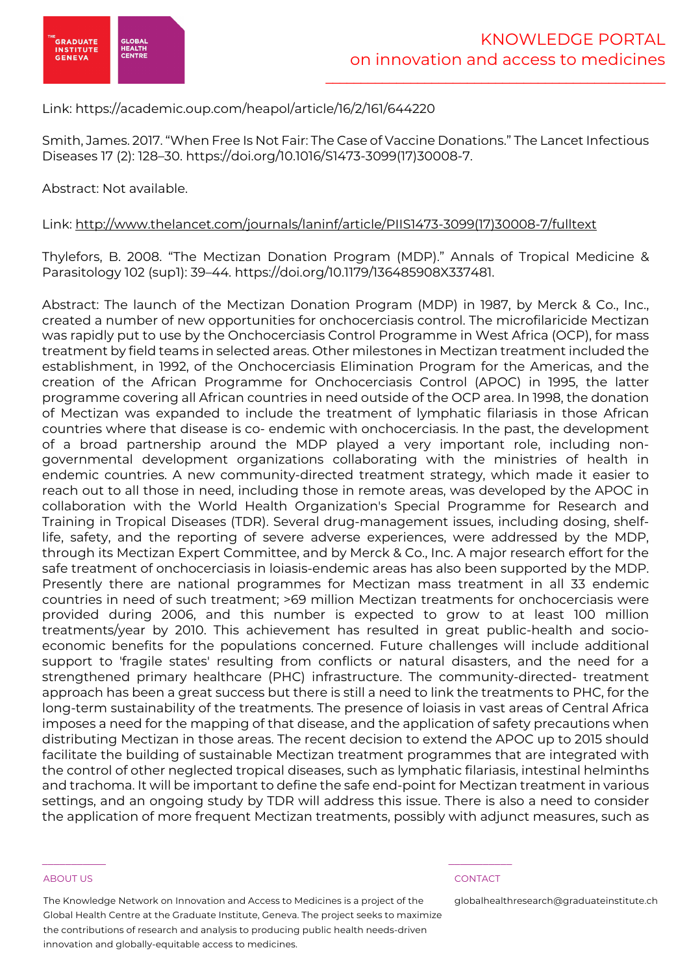

Link: https://academic.oup.com/heapol/article/16/2/161/644220

Smith, James. 2017. "When Free Is Not Fair: The Case of Vaccine Donations." The Lancet Infectious Diseases 17 (2): 128–30. https://doi.org/10.1016/S1473-3099(17)30008-7.

Abstract: Not available.

Link: http://www.thelancet.com/journals/laninf/article/PIIS1473-3099(17)30008-7/fulltext

Thylefors, B. 2008. "The Mectizan Donation Program (MDP)." Annals of Tropical Medicine & Parasitology 102 (sup1): 39–44. https://doi.org/10.1179/136485908X337481.

Abstract: The launch of the Mectizan Donation Program (MDP) in 1987, by Merck & Co., Inc., created a number of new opportunities for onchocerciasis control. The microfilaricide Mectizan was rapidly put to use by the Onchocerciasis Control Programme in West Africa (OCP), for mass treatment by field teams in selected areas. Other milestones in Mectizan treatment included the establishment, in 1992, of the Onchocerciasis Elimination Program for the Americas, and the creation of the African Programme for Onchocerciasis Control (APOC) in 1995, the latter programme covering all African countries in need outside of the OCP area. In 1998, the donation of Mectizan was expanded to include the treatment of lymphatic filariasis in those African countries where that disease is co- endemic with onchocerciasis. In the past, the development of a broad partnership around the MDP played a very important role, including nongovernmental development organizations collaborating with the ministries of health in endemic countries. A new community-directed treatment strategy, which made it easier to reach out to all those in need, including those in remote areas, was developed by the APOC in collaboration with the World Health Organization's Special Programme for Research and Training in Tropical Diseases (TDR). Several drug-management issues, including dosing, shelflife, safety, and the reporting of severe adverse experiences, were addressed by the MDP, through its Mectizan Expert Committee, and by Merck & Co., Inc. A major research effort for the safe treatment of onchocerciasis in loiasis-endemic areas has also been supported by the MDP. Presently there are national programmes for Mectizan mass treatment in all 33 endemic countries in need of such treatment; >69 million Mectizan treatments for onchocerciasis were provided during 2006, and this number is expected to grow to at least 100 million treatments/year by 2010. This achievement has resulted in great public-health and socioeconomic benefits for the populations concerned. Future challenges will include additional support to 'fragile states' resulting from conflicts or natural disasters, and the need for a strengthened primary healthcare (PHC) infrastructure. The community-directed- treatment approach has been a great success but there is still a need to link the treatments to PHC, for the long-term sustainability of the treatments. The presence of loiasis in vast areas of Central Africa imposes a need for the mapping of that disease, and the application of safety precautions when distributing Mectizan in those areas. The recent decision to extend the APOC up to 2015 should facilitate the building of sustainable Mectizan treatment programmes that are integrated with the control of other neglected tropical diseases, such as lymphatic filariasis, intestinal helminths and trachoma. It will be important to define the safe end-point for Mectizan treatment in various settings, and an ongoing study by TDR will address this issue. There is also a need to consider the application of more frequent Mectizan treatments, possibly with adjunct measures, such as

### ABOUT US CONTACT AND RESERVE THE RELEASE OF THE RELEASE OF THE RELEASE OF THE RELEASE OF THE RELEASE OF THE RELEASE OF THE RELEASE OF THE RELEASE OF THE RELEASE OF THE RELEASE OF THE RELEASE OF THE RELEASE OF THE RELEASE O

The Knowledge Network on Innovation and Access to Medicines is a project of the Global Health Centre at the Graduate Institute, Geneva. The project seeks to maximize the contributions of research and analysis to producing public health needs-driven innovation and globally-equitable access to medicines.

 $\frac{1}{2}$  , and the set of the set of the set of the set of the set of the set of the set of the set of the set of the set of the set of the set of the set of the set of the set of the set of the set of the set of the set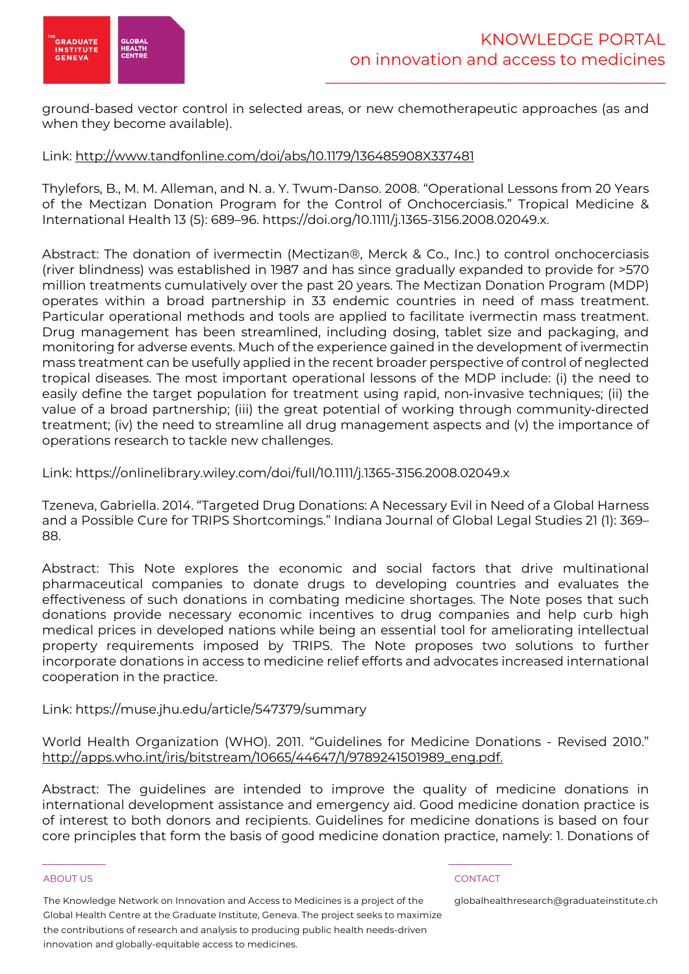

ground-based vector control in selected areas, or new chemotherapeutic approaches (as and when they become available).

### Link: http://www.tandfonline.com/doi/abs/10.1179/136485908X337481

Thylefors, B., M. M. Alleman, and N. a. Y. Twum-Danso. 2008. "Operational Lessons from 20 Years of the Mectizan Donation Program for the Control of Onchocerciasis." Tropical Medicine & International Health 13 (5): 689–96. https://doi.org/10.1111/j.1365-3156.2008.02049.x.

Abstract: The donation of ivermectin (Mectizan®, Merck & Co., Inc.) to control onchocerciasis (river blindness) was established in 1987 and has since gradually expanded to provide for >570 million treatments cumulatively over the past 20 years. The Mectizan Donation Program (MDP) operates within a broad partnership in 33 endemic countries in need of mass treatment. Particular operational methods and tools are applied to facilitate ivermectin mass treatment. Drug management has been streamlined, including dosing, tablet size and packaging, and monitoring for adverse events. Much of the experience gained in the development of ivermectin mass treatment can be usefully applied in the recent broader perspective of control of neglected tropical diseases. The most important operational lessons of the MDP include: (i) the need to easily define the target population for treatment using rapid, non-invasive techniques; (ii) the value of a broad partnership; (iii) the great potential of working through community-directed treatment; (iv) the need to streamline all drug management aspects and (v) the importance of operations research to tackle new challenges.

Link: https://onlinelibrary.wiley.com/doi/full/10.1111/j.1365-3156.2008.02049.x

Tzeneva, Gabriella. 2014. "Targeted Drug Donations: A Necessary Evil in Need of a Global Harness and a Possible Cure for TRIPS Shortcomings." Indiana Journal of Global Legal Studies 21 (1): 369– 88.

Abstract: This Note explores the economic and social factors that drive multinational pharmaceutical companies to donate drugs to developing countries and evaluates the effectiveness of such donations in combating medicine shortages. The Note poses that such donations provide necessary economic incentives to drug companies and help curb high medical prices in developed nations while being an essential tool for ameliorating intellectual property requirements imposed by TRIPS. The Note proposes two solutions to further incorporate donations in access to medicine relief efforts and advocates increased international cooperation in the practice.

# Link: https://muse.jhu.edu/article/547379/summary

World Health Organization (WHO). 2011. "Guidelines for Medicine Donations - Revised 2010." http://apps.who.int/iris/bitstream/10665/44647/1/9789241501989\_eng.pdf.

Abstract: The guidelines are intended to improve the quality of medicine donations in international development assistance and emergency aid. Good medicine donation practice is of interest to both donors and recipients. Guidelines for medicine donations is based on four core principles that form the basis of good medicine donation practice, namely: 1. Donations of

### ABOUT US CONTACT AND RESERVE THE RELEASE OF THE RELEASE OF THE RELEASE OF THE RELEASE OF THE RELEASE OF THE RELEASE OF THE RELEASE OF THE RELEASE OF THE RELEASE OF THE RELEASE OF THE RELEASE OF THE RELEASE OF THE RELEASE O

The Knowledge Network on Innovation and Access to Medicines is a project of the Global Health Centre at the Graduate Institute, Geneva. The project seeks to maximize the contributions of research and analysis to producing public health needs-driven innovation and globally-equitable access to medicines.

 $\frac{1}{2}$  , and the set of the set of the set of the set of the set of the set of the set of the set of the set of the set of the set of the set of the set of the set of the set of the set of the set of the set of the set